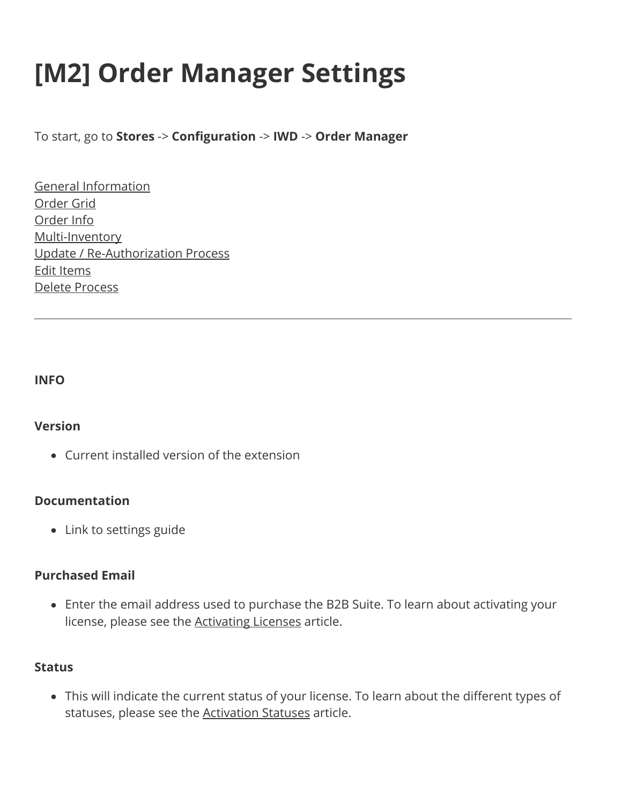# **[M2] Order Manager Settings**

To start, go to **Stores** -> **Configuration** -> **IWD** -> **Order Manager**

[General Information](#page-1-0) [Order Grid](#page-1-1) [Order Info](#page-1-2) [Multi-Inventory](#page-2-0) [Update / Re-Authorization Process](#page-2-1) [Edit Items](#page-2-2) [Delete Process](#page-3-0)

#### **INFO**

# **Version**

Current installed version of the extension

# **Documentation**

• Link to settings guide

#### **Purchased Email**

Enter the email address used to purchase the B2B Suite. To learn about activating your license, please see the [Activating Licenses](https://www.iwdagency.com/general-information/managing-your-product-license#ACTIVATING LICENSES) article.

#### **Status**

This will indicate the current status of your license. To learn about the different types of statuses, please see the [Activation Statuses](https://www.iwdagency.com/general-information/managing-your-product-license#ACTIVATION STATUSES) article.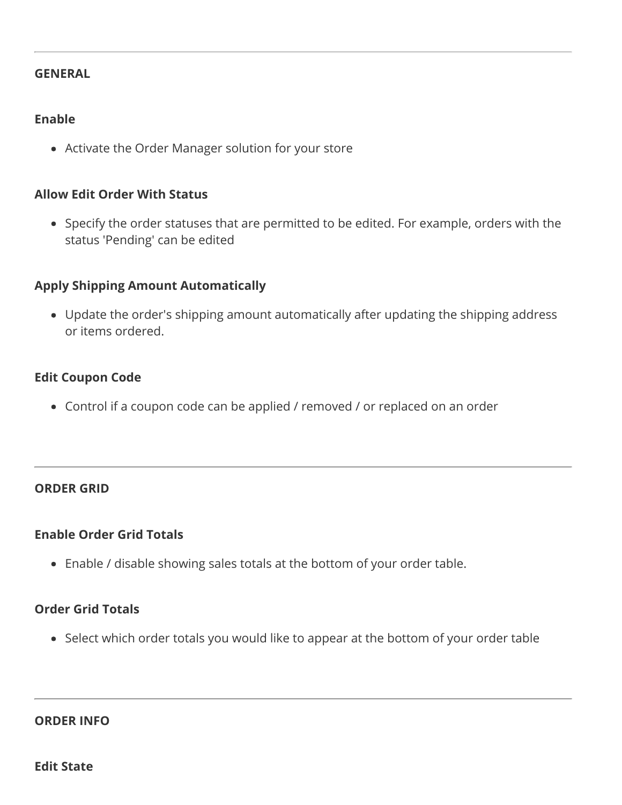#### <span id="page-1-0"></span>**GENERAL**

# **Enable**

Activate the Order Manager solution for your store

# **Allow Edit Order With Status**

Specify the order statuses that are permitted to be edited. For example, orders with the status 'Pending' can be edited

# **Apply Shipping Amount Automatically**

Update the order's shipping amount automatically after updating the shipping address or items ordered.

# **Edit Coupon Code**

Control if a coupon code can be applied / removed / or replaced on an order

# <span id="page-1-1"></span>**ORDER GRID**

# **Enable Order Grid Totals**

Enable / disable showing sales totals at the bottom of your order table.

# **Order Grid Totals**

Select which order totals you would like to appear at the bottom of your order table

#### <span id="page-1-2"></span>**ORDER INFO**

**Edit State**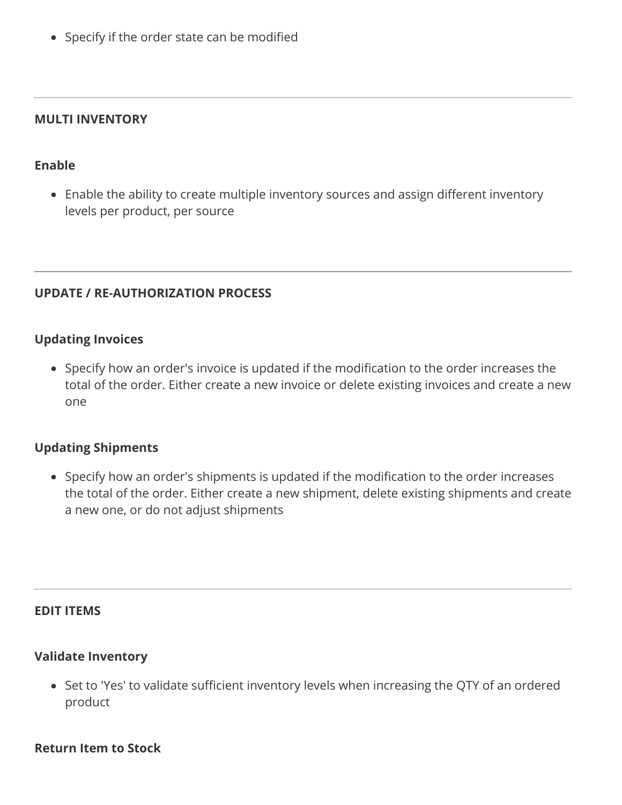• Specify if the order state can be modified

#### <span id="page-2-0"></span>**MULTI INVENTORY**

#### **Enable**

Enable the ability to create multiple inventory sources and assign different inventory levels per product, per source

# <span id="page-2-1"></span>**UPDATE / RE-AUTHORIZATION PROCESS**

#### **Updating Invoices**

Specify how an order's invoice is updated if the modification to the order increases the total of the order. Either create a new invoice or delete existing invoices and create a new one

# **Updating Shipments**

Specify how an order's shipments is updated if the modification to the order increases the total of the order. Either create a new shipment, delete existing shipments and create a new one, or do not adjust shipments

# <span id="page-2-2"></span>**EDIT ITEMS**

#### **Validate Inventory**

Set to 'Yes' to validate sufficient inventory levels when increasing the QTY of an ordered product

#### **Return Item to Stock**